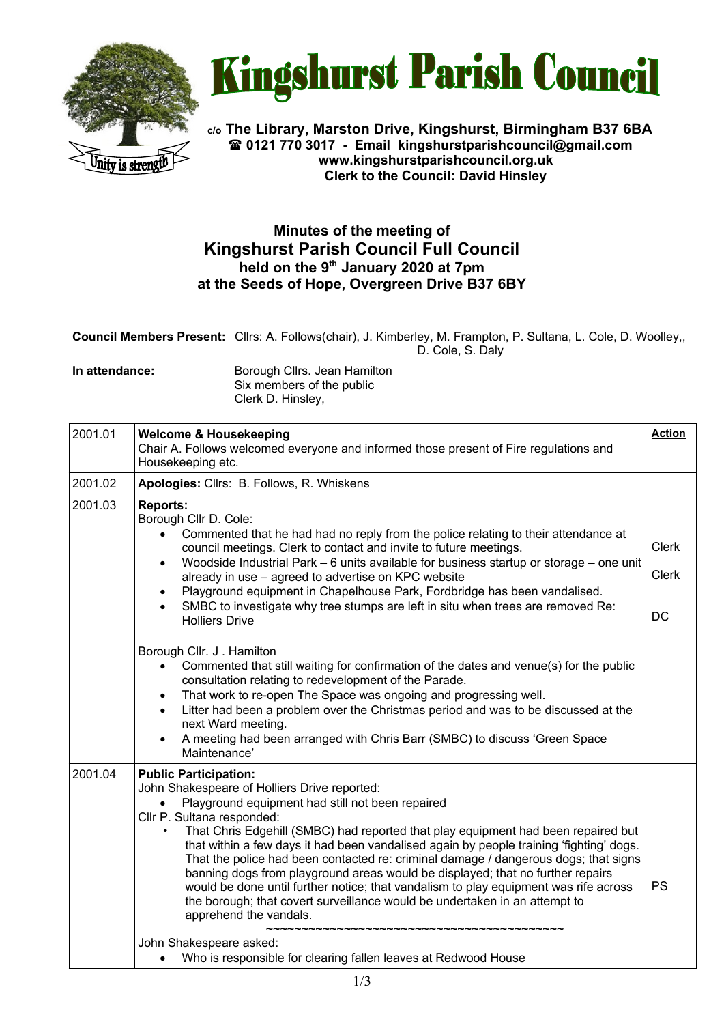



**c/o The Library, Marston Drive, Kingshurst, Birmingham B37 6BA 0121 770 3017 - Email [kingshurstparishcouncil@gmail.com](mailto:kingshurstparishcouncil@gmail.com) www.kingshurstparishcouncil.org.uk Clerk to the Council: David Hinsley** 

## **Minutes of the meeting of Kingshurst Parish Council Full Council held on the 9th January 2020 at 7pm at the Seeds of Hope, Overgreen Drive B37 6BY**

**Council Members Present:** Cllrs: A. Follows(chair), J. Kimberley, M. Frampton, P. Sultana, L. Cole, D. Woolley,, D. Cole, S. Daly

**In attendance:** Borough Cllrs. Jean Hamilton Six members of the public Clerk D. Hinsley,

| 2001.01 | <b>Welcome &amp; Housekeeping</b><br>Chair A. Follows welcomed everyone and informed those present of Fire regulations and<br>Housekeeping etc.                                                                                                                                                                                                                                                                                                                                                                                                                                                                                                                                                                                                                                                                                                                                                                                                                                                                                                                               | <b>Action</b>                      |
|---------|-------------------------------------------------------------------------------------------------------------------------------------------------------------------------------------------------------------------------------------------------------------------------------------------------------------------------------------------------------------------------------------------------------------------------------------------------------------------------------------------------------------------------------------------------------------------------------------------------------------------------------------------------------------------------------------------------------------------------------------------------------------------------------------------------------------------------------------------------------------------------------------------------------------------------------------------------------------------------------------------------------------------------------------------------------------------------------|------------------------------------|
| 2001.02 | Apologies: Cllrs: B. Follows, R. Whiskens                                                                                                                                                                                                                                                                                                                                                                                                                                                                                                                                                                                                                                                                                                                                                                                                                                                                                                                                                                                                                                     |                                    |
| 2001.03 | <b>Reports:</b><br>Borough Cllr D. Cole:<br>Commented that he had had no reply from the police relating to their attendance at<br>$\bullet$<br>council meetings. Clerk to contact and invite to future meetings.<br>Woodside Industrial Park - 6 units available for business startup or storage - one unit<br>$\bullet$<br>already in use - agreed to advertise on KPC website<br>Playground equipment in Chapelhouse Park, Fordbridge has been vandalised.<br>$\bullet$<br>SMBC to investigate why tree stumps are left in situ when trees are removed Re:<br><b>Holliers Drive</b><br>Borough Cllr. J. Hamilton<br>Commented that still waiting for confirmation of the dates and venue(s) for the public<br>consultation relating to redevelopment of the Parade.<br>That work to re-open The Space was ongoing and progressing well.<br>$\bullet$<br>Litter had been a problem over the Christmas period and was to be discussed at the<br>$\bullet$<br>next Ward meeting.<br>A meeting had been arranged with Chris Barr (SMBC) to discuss 'Green Space<br>Maintenance' | <b>Clerk</b><br><b>Clerk</b><br>DC |
| 2001.04 | <b>Public Participation:</b><br>John Shakespeare of Holliers Drive reported:<br>Playground equipment had still not been repaired<br>$\bullet$<br>Cllr P. Sultana responded:<br>That Chris Edgehill (SMBC) had reported that play equipment had been repaired but<br>that within a few days it had been vandalised again by people training 'fighting' dogs.<br>That the police had been contacted re: criminal damage / dangerous dogs; that signs<br>banning dogs from playground areas would be displayed; that no further repairs<br>would be done until further notice; that vandalism to play equipment was rife across<br>the borough; that covert surveillance would be undertaken in an attempt to<br>apprehend the vandals.<br>John Shakespeare asked:<br>Who is responsible for clearing fallen leaves at Redwood House                                                                                                                                                                                                                                             | <b>PS</b>                          |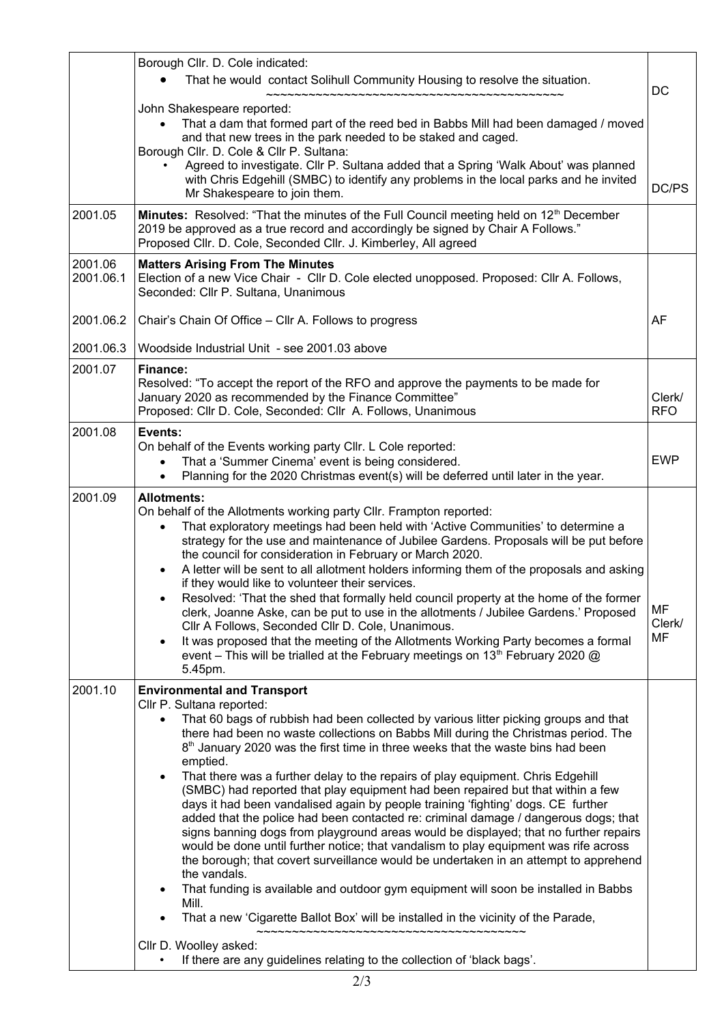|                      | Borough Cllr. D. Cole indicated:<br>That he would contact Solihull Community Housing to resolve the situation.                                                                                                                                                                                                                                                                                                                                                                                                                                                                                                                                                                                                                                                                                                                                                                                                                                                                                                                                                                                                                                                                                                                                                                                            |                                  |
|----------------------|-----------------------------------------------------------------------------------------------------------------------------------------------------------------------------------------------------------------------------------------------------------------------------------------------------------------------------------------------------------------------------------------------------------------------------------------------------------------------------------------------------------------------------------------------------------------------------------------------------------------------------------------------------------------------------------------------------------------------------------------------------------------------------------------------------------------------------------------------------------------------------------------------------------------------------------------------------------------------------------------------------------------------------------------------------------------------------------------------------------------------------------------------------------------------------------------------------------------------------------------------------------------------------------------------------------|----------------------------------|
|                      | ~~~~~~~~~~~~~~~~~~~~~~~~~~~~~~~~~<br>John Shakespeare reported:<br>That a dam that formed part of the reed bed in Babbs Mill had been damaged / moved<br>and that new trees in the park needed to be staked and caged.<br>Borough Cllr. D. Cole & Cllr P. Sultana:<br>Agreed to investigate. Cllr P. Sultana added that a Spring 'Walk About' was planned<br>with Chris Edgehill (SMBC) to identify any problems in the local parks and he invited<br>Mr Shakespeare to join them.                                                                                                                                                                                                                                                                                                                                                                                                                                                                                                                                                                                                                                                                                                                                                                                                                        | DC<br>DC/PS                      |
| 2001.05              | Minutes: Resolved: "That the minutes of the Full Council meeting held on 12 <sup>th</sup> December<br>2019 be approved as a true record and accordingly be signed by Chair A Follows."<br>Proposed Cllr. D. Cole, Seconded Cllr. J. Kimberley, All agreed                                                                                                                                                                                                                                                                                                                                                                                                                                                                                                                                                                                                                                                                                                                                                                                                                                                                                                                                                                                                                                                 |                                  |
| 2001.06<br>2001.06.1 | <b>Matters Arising From The Minutes</b><br>Election of a new Vice Chair - Cllr D. Cole elected unopposed. Proposed: Cllr A. Follows,<br>Seconded: Cllr P. Sultana, Unanimous                                                                                                                                                                                                                                                                                                                                                                                                                                                                                                                                                                                                                                                                                                                                                                                                                                                                                                                                                                                                                                                                                                                              |                                  |
| 2001.06.2            | Chair's Chain Of Office - Cllr A. Follows to progress                                                                                                                                                                                                                                                                                                                                                                                                                                                                                                                                                                                                                                                                                                                                                                                                                                                                                                                                                                                                                                                                                                                                                                                                                                                     | AF                               |
| 2001.06.3            | Woodside Industrial Unit - see 2001.03 above                                                                                                                                                                                                                                                                                                                                                                                                                                                                                                                                                                                                                                                                                                                                                                                                                                                                                                                                                                                                                                                                                                                                                                                                                                                              |                                  |
| 2001.07              | Finance:<br>Resolved: "To accept the report of the RFO and approve the payments to be made for<br>January 2020 as recommended by the Finance Committee"<br>Proposed: Cllr D. Cole, Seconded: Cllr A. Follows, Unanimous                                                                                                                                                                                                                                                                                                                                                                                                                                                                                                                                                                                                                                                                                                                                                                                                                                                                                                                                                                                                                                                                                   | Clerk/<br><b>RFO</b>             |
| 2001.08              | Events:<br>On behalf of the Events working party Cllr. L Cole reported:<br>That a 'Summer Cinema' event is being considered.<br>$\bullet$<br>Planning for the 2020 Christmas event(s) will be deferred until later in the year.<br>$\bullet$                                                                                                                                                                                                                                                                                                                                                                                                                                                                                                                                                                                                                                                                                                                                                                                                                                                                                                                                                                                                                                                              | <b>EWP</b>                       |
| 2001.09              | <b>Allotments:</b><br>On behalf of the Allotments working party Cllr. Frampton reported:<br>That exploratory meetings had been held with 'Active Communities' to determine a<br>$\bullet$<br>strategy for the use and maintenance of Jubilee Gardens. Proposals will be put before<br>the council for consideration in February or March 2020.<br>A letter will be sent to all allotment holders informing them of the proposals and asking<br>$\bullet$<br>if they would like to volunteer their services.<br>Resolved: 'That the shed that formally held council property at the home of the former<br>clerk, Joanne Aske, can be put to use in the allotments / Jubilee Gardens.' Proposed<br>Cllr A Follows, Seconded Cllr D. Cole, Unanimous.<br>It was proposed that the meeting of the Allotments Working Party becomes a formal<br>$\bullet$<br>event - This will be trialled at the February meetings on 13 <sup>th</sup> February 2020 @<br>5.45pm.                                                                                                                                                                                                                                                                                                                                             | <b>MF</b><br>Clerk/<br><b>MF</b> |
| 2001.10              | <b>Environmental and Transport</b><br>Cllr P. Sultana reported:<br>That 60 bags of rubbish had been collected by various litter picking groups and that<br>there had been no waste collections on Babbs Mill during the Christmas period. The<br>8 <sup>th</sup> January 2020 was the first time in three weeks that the waste bins had been<br>emptied.<br>That there was a further delay to the repairs of play equipment. Chris Edgehill<br>$\bullet$<br>(SMBC) had reported that play equipment had been repaired but that within a few<br>days it had been vandalised again by people training 'fighting' dogs. CE further<br>added that the police had been contacted re: criminal damage / dangerous dogs; that<br>signs banning dogs from playground areas would be displayed; that no further repairs<br>would be done until further notice; that vandalism to play equipment was rife across<br>the borough; that covert surveillance would be undertaken in an attempt to apprehend<br>the vandals.<br>That funding is available and outdoor gym equipment will soon be installed in Babbs<br>Mill.<br>That a new 'Cigarette Ballot Box' will be installed in the vicinity of the Parade,<br>Cllr D. Woolley asked:<br>If there are any guidelines relating to the collection of 'black bags'. |                                  |